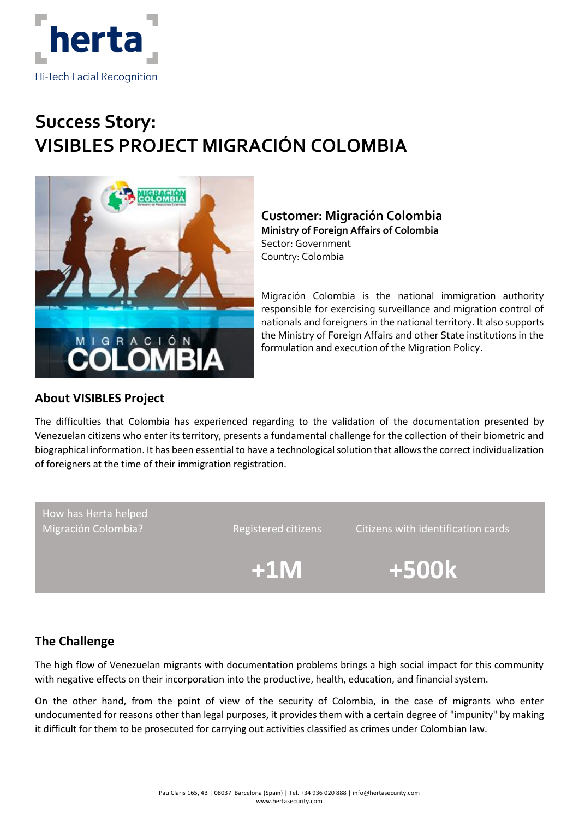

# **Success Story: VISIBLES PROJECT MIGRACIÓN COLOMBIA**



## **Customer: Migración Colombia Ministry of Foreign Affairs of Colombia**

Sector: Government Country: Colombia

Migración Colombia is the national immigration authority responsible for exercising surveillance and migration control of nationals and foreigners in the national territory. It also supports the Ministry of Foreign Affairs and other State institutions in the formulation and execution of the Migration Policy.

# **About VISIBLES Project**

The difficulties that Colombia has experienced regarding to the validation of the documentation presented by Venezuelan citizens who enter its territory, presents a fundamental challenge for the collection of their biometric and biographical information. It has been essential to have a technological solution that allows the correct individualization of foreigners at the time of their immigration registration.

How has Herta helped

Migración Colombia? The Registered citizens Citizens with identification cards

 **+1M +500k**

# **The Challenge**

The high flow of Venezuelan migrants with documentation problems brings a high social impact for this community with negative effects on their incorporation into the productive, health, education, and financial system.

On the other hand, from the point of view of the security of Colombia, in the case of migrants who enter undocumented for reasons other than legal purposes, it provides them with a certain degree of "impunity" by making it difficult for them to be prosecuted for carrying out activities classified as crimes under Colombian law.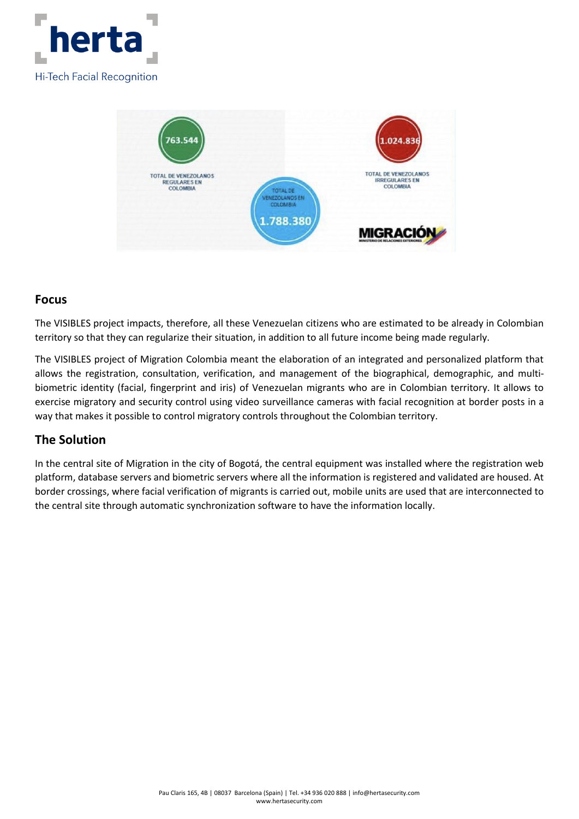



#### **Focus**

The VISIBLES project impacts, therefore, all these Venezuelan citizens who are estimated to be already in Colombian territory so that they can regularize their situation, in addition to all future income being made regularly.

The VISIBLES project of Migration Colombia meant the elaboration of an integrated and personalized platform that allows the registration, consultation, verification, and management of the biographical, demographic, and multibiometric identity (facial, fingerprint and iris) of Venezuelan migrants who are in Colombian territory. It allows to exercise migratory and security control using video surveillance cameras with facial recognition at border posts in a way that makes it possible to control migratory controls throughout the Colombian territory.

### **The Solution**

In the central site of Migration in the city of Bogotá, the central equipment was installed where the registration web platform, database servers and biometric servers where all the information is registered and validated are housed. At border crossings, where facial verification of migrants is carried out, mobile units are used that are interconnected to the central site through automatic synchronization software to have the information locally.